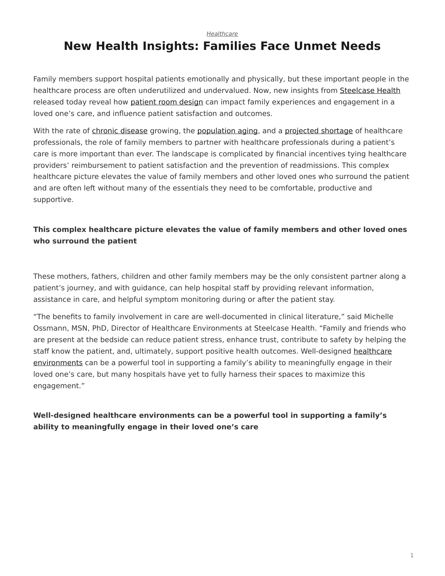*[Healthcare](https://www.steelcase.com/research/topics/healthcare/)*

# <span id="page-0-0"></span>**New Health Insights: Families Face Unmet Needs**

Family members support hospital patients emotionally and physically, but these important people in the healthcare process are often underutilized and undervalued. Now, new insights from [Steelcase Health](https://www.steelcase.com/discover/information/health/) released today reveal how [patient room design](https://www.steelcase.com/discover/information/health/supporting-family-members-patient-rooms/) can impact family experiences and engagement in a loved one's care, and influence patient satisfaction and outcomes.

With the rate of [chronic disease](https://www.hcup-us.ahrq.gov/reports/statbriefs/sb183-Hospitalizations-Multiple-Chronic-Conditions-Projections-2014.jsp) growing, the [population aging,](https://www.census.gov/newsroom/press-releases/2014/cb14-84.html) and a [projected shortage](https://www.aamc.org/newsroom/newsreleases/458074/2016_workforce_projections_04052016.html) of healthcare professionals, the role of family members to partner with healthcare professionals during a patient's care is more important than ever. The landscape is complicated by financial incentives tying healthcare providers' reimbursement to patient satisfaction and the prevention of readmissions. This complex healthcare picture elevates the value of family members and other loved ones who surround the patient and are often left without many of the essentials they need to be comfortable, productive and supportive.

#### **This complex healthcare picture elevates the value of family members and other loved ones who surround the patient**

These mothers, fathers, children and other family members may be the only consistent partner along a patient's journey, and with guidance, can help hospital staff by providing relevant information, assistance in care, and helpful symptom monitoring during or after the patient stay.

"The benefits to family involvement in care are well-documented in clinical literature," said Michelle Ossmann, MSN, PhD, Director of Healthcare Environments at Steelcase Health. "Family and friends who are present at the bedside can reduce patient stress, enhance trust, contribute to safety by helping the staff know the patient, and, ultimately, support positive health outcomes. Well-designed [healthcare](https://www.steelcase.com/discover/information/health/) [environments](https://www.steelcase.com/discover/information/health/) can be a powerful tool in supporting a family's ability to meaningfully engage in their loved one's care, but many hospitals have yet to fully harness their spaces to maximize this engagement."

#### **Well-designed healthcare environments can be a powerful tool in supporting a family's ability to meaningfully engage in their loved one's care**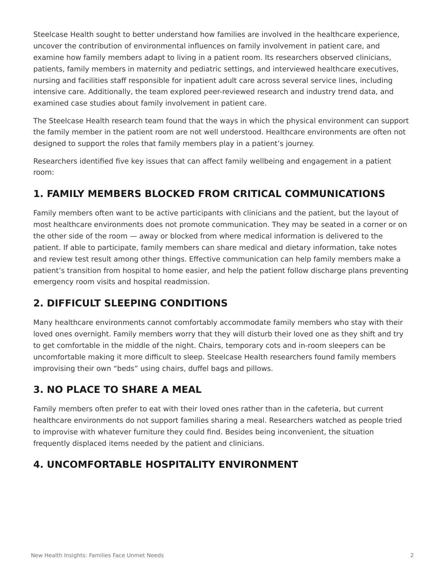Steelcase Health sought to better understand how families are involved in the healthcare experience, uncover the contribution of environmental influences on family involvement in patient care, and examine how family members adapt to living in a patient room. Its researchers observed clinicians, patients, family members in maternity and pediatric settings, and interviewed healthcare executives, nursing and facilities staff responsible for inpatient adult care across several service lines, including intensive care. Additionally, the team explored peer-reviewed research and industry trend data, and examined case studies about family involvement in patient care.

The Steelcase Health research team found that the ways in which the physical environment can support the family member in the patient room are not well understood. Healthcare environments are often not designed to support the roles that family members play in a patient's journey.

Researchers identified five key issues that can affect family wellbeing and engagement in a patient room:

## **1. FAMILY MEMBERS BLOCKED FROM CRITICAL COMMUNICATIONS**

Family members often want to be active participants with clinicians and the patient, but the layout of most healthcare environments does not promote communication. They may be seated in a corner or on the other side of the room — away or blocked from where medical information is delivered to the patient. If able to participate, family members can share medical and dietary information, take notes and review test result among other things. Effective communication can help family members make a patient's transition from hospital to home easier, and help the patient follow discharge plans preventing emergency room visits and hospital readmission.

## **2. DIFFICULT SLEEPING CONDITIONS**

Many healthcare environments cannot comfortably accommodate family members who stay with their loved ones overnight. Family members worry that they will disturb their loved one as they shift and try to get comfortable in the middle of the night. Chairs, temporary cots and in-room sleepers can be uncomfortable making it more difficult to sleep. Steelcase Health researchers found family members improvising their own "beds" using chairs, duffel bags and pillows.

## **3. NO PLACE TO SHARE A MEAL**

Family members often prefer to eat with their loved ones rather than in the cafeteria, but current healthcare environments do not support families sharing a meal. Researchers watched as people tried to improvise with whatever furniture they could find. Besides being inconvenient, the situation frequently displaced items needed by the patient and clinicians.

## **4. UNCOMFORTABLE HOSPITALITY ENVIRONMENT**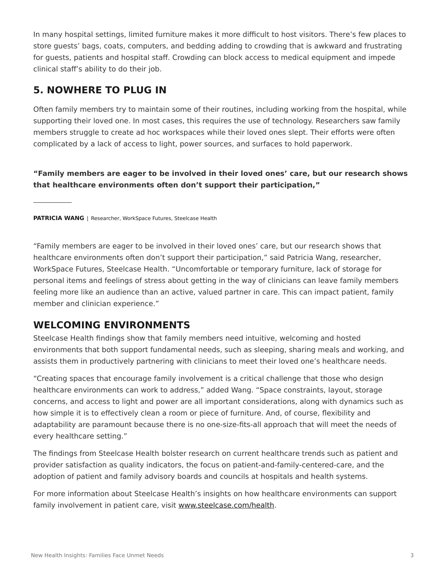In many hospital settings, limited furniture makes it more difficult to host visitors. There's few places to store guests' bags, coats, computers, and bedding adding to crowding that is awkward and frustrating for guests, patients and hospital staff. Crowding can block access to medical equipment and impede clinical staff's ability to do their job.

#### **5. NOWHERE TO PLUG IN**

Often family members try to maintain some of their routines, including working from the hospital, while supporting their loved one. In most cases, this requires the use of technology. Researchers saw family members struggle to create ad hoc workspaces while their loved ones slept. Their efforts were often complicated by a lack of access to light, power sources, and surfaces to hold paperwork.

**"Family members are eager to be involved in their loved ones' care, but our research shows that healthcare environments often don't support their participation,"**

**PATRICIA WANG** | Researcher, WorkSpace Futures, Steelcase Health

"Family members are eager to be involved in their loved ones' care, but our research shows that healthcare environments often don't support their participation," said Patricia Wang, researcher, WorkSpace Futures, Steelcase Health. "Uncomfortable or temporary furniture, lack of storage for personal items and feelings of stress about getting in the way of clinicians can leave family members feeling more like an audience than an active, valued partner in care. This can impact patient, family member and clinician experience."

#### **WELCOMING ENVIRONMENTS**

Steelcase Health findings show that family members need intuitive, welcoming and hosted environments that both support fundamental needs, such as sleeping, sharing meals and working, and assists them in productively partnering with clinicians to meet their loved one's healthcare needs.

"Creating spaces that encourage family involvement is a critical challenge that those who design healthcare environments can work to address," added Wang. "Space constraints, layout, storage concerns, and access to light and power are all important considerations, along with dynamics such as how simple it is to effectively clean a room or piece of furniture. And, of course, flexibility and adaptability are paramount because there is no one-size-fits-all approach that will meet the needs of every healthcare setting."

The findings from Steelcase Health bolster research on current healthcare trends such as patient and provider satisfaction as quality indicators, the focus on patient-and-family-centered-care, and the adoption of patient and family advisory boards and councils at hospitals and health systems.

For more information about Steelcase Health's insights on how healthcare environments can support family involvement in patient care, visit [www.steelcase.com/health.](http://www.steelcase.com/health)